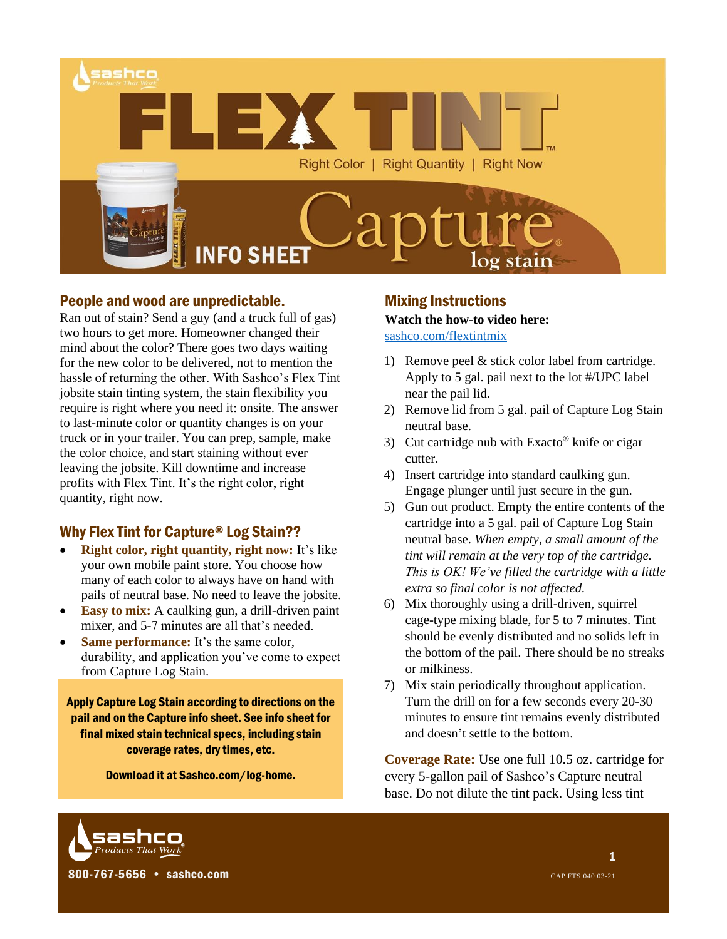

## People and wood are unpredictable.

Ran out of stain? Send a guy (and a truck full of gas) two hours to get more. Homeowner changed their mind about the color? There goes two days waiting for the new color to be delivered, not to mention the hassle of returning the other. With Sashco's Flex Tint jobsite stain tinting system, the stain flexibility you require is right where you need it: onsite. The answer to last-minute color or quantity changes is on your truck or in your trailer. You can prep, sample, make the color choice, and start staining without ever leaving the jobsite. Kill downtime and increase profits with Flex Tint. It's the right color, right quantity, right now.

## Why Flex Tint for Capture® Log Stain??

- **Right color, right quantity, right now:** It's like your own mobile paint store. You choose how many of each color to always have on hand with pails of neutral base. No need to leave the jobsite.
- **Easy to mix:** A caulking gun, a drill-driven paint mixer, and 5-7 minutes are all that's needed.
- **Same performance:** It's the same color, durability, and application you've come to expect from Capture Log Stain.

Apply Capture Log Stain according to directions on the pail and on the Capture info sheet. See info sheet for final mixed stain technical specs, including stain coverage rates, dry times, etc.

Download it at Sashco.com/log-home.

## Mixing Instructions

**Watch the how-to video here:**  [sashco.com/flextintmix](http://www.sashco.com/flextintmix)

- 1) Remove peel & stick color label from cartridge. Apply to 5 gal. pail next to the lot #/UPC label near the pail lid.
- 2) Remove lid from 5 gal. pail of Capture Log Stain neutral base.
- 3) Cut cartridge nub with Exacto® knife or cigar cutter.
- 4) Insert cartridge into standard caulking gun. Engage plunger until just secure in the gun.
- 5) Gun out product. Empty the entire contents of the cartridge into a 5 gal. pail of Capture Log Stain neutral base. *When empty, a small amount of the tint will remain at the very top of the cartridge. This is OK! We've filled the cartridge with a little extra so final color is not affected.*
- 6) Mix thoroughly using a drill-driven, squirrel cage-type mixing blade, for 5 to 7 minutes. Tint should be evenly distributed and no solids left in the bottom of the pail. There should be no streaks or milkiness.
- 7) Mix stain periodically throughout application. Turn the drill on for a few seconds every 20-30 minutes to ensure tint remains evenly distributed and doesn't settle to the bottom.

**Coverage Rate:** Use one full 10.5 oz. cartridge for every 5-gallon pail of Sashco's Capture neutral base. Do not dilute the tint pack. Using less tint